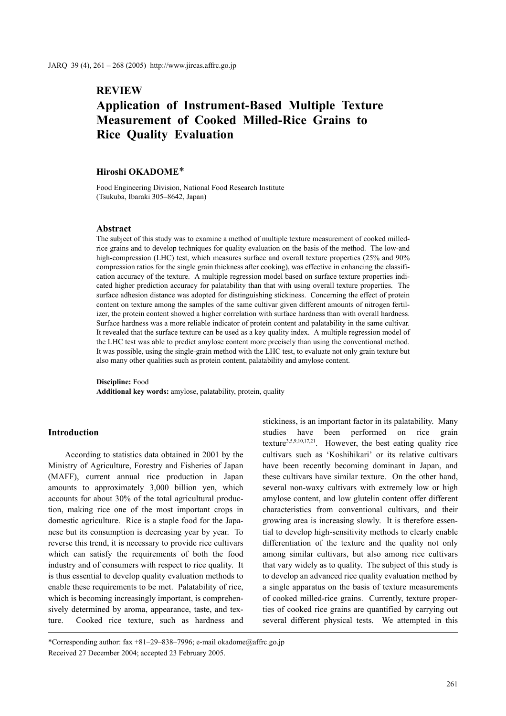# **REVIEW**

# **Application of Instrument-Based Multiple Texture Measurement of Cooked Milled-Rice Grains to Rice Quality Evaluation**

### **Hiroshi OKADOME**\*

Food Engineering Division, National Food Research Institute (Tsukuba, Ibaraki 305–8642, Japan)

### **Abstract**

The subject of this study was to examine a method of multiple texture measurement of cooked milledrice grains and to develop techniques for quality evaluation on the basis of the method. The low-and high-compression (LHC) test, which measures surface and overall texture properties (25% and 90% compression ratios for the single grain thickness after cooking), was effective in enhancing the classification accuracy of the texture. A multiple regression model based on surface texture properties indicated higher prediction accuracy for palatability than that with using overall texture properties. The surface adhesion distance was adopted for distinguishing stickiness. Concerning the effect of protein content on texture among the samples of the same cultivar given different amounts of nitrogen fertilizer, the protein content showed a higher correlation with surface hardness than with overall hardness. Surface hardness was a more reliable indicator of protein content and palatability in the same cultivar. It revealed that the surface texture can be used as a key quality index. A multiple regression model of the LHC test was able to predict amylose content more precisely than using the conventional method. It was possible, using the single-grain method with the LHC test, to evaluate not only grain texture but also many other qualities such as protein content, palatability and amylose content.

**Discipline:** Food **Additional key words:** amylose, palatability, protein, quality

# **Introduction**

According to statistics data obtained in 2001 by the Ministry of Agriculture, Forestry and Fisheries of Japan (MAFF), current annual rice production in Japan amounts to approximately 3,000 billion yen, which accounts for about 30% of the total agricultural production, making rice one of the most important crops in domestic agriculture. Rice is a staple food for the Japanese but its consumption is decreasing year by year. To reverse this trend, it is necessary to provide rice cultivars which can satisfy the requirements of both the food industry and of consumers with respect to rice quality. It is thus essential to develop quality evaluation methods to enable these requirements to be met. Palatability of rice, which is becoming increasingly important, is comprehensively determined by aroma, appearance, taste, and texture. Cooked rice texture, such as hardness and stickiness, is an important factor in its palatability. Many studies have been performed on rice grain texture $3,5,9,10,17,21$ . However, the best eating quality rice cultivars such as 'Koshihikari' or its relative cultivars have been recently becoming dominant in Japan, and these cultivars have similar texture. On the other hand, several non-waxy cultivars with extremely low or high amylose content, and low glutelin content offer different characteristics from conventional cultivars, and their growing area is increasing slowly. It is therefore essential to develop high-sensitivity methods to clearly enable differentiation of the texture and the quality not only among similar cultivars, but also among rice cultivars that vary widely as to quality. The subject of this study is to develop an advanced rice quality evaluation method by a single apparatus on the basis of texture measurements of cooked milled-rice grains. Currently, texture properties of cooked rice grains are quantified by carrying out several different physical tests. We attempted in this

<sup>\*</sup>Corresponding author: fax +81–29–838–7996; e-mail okadome@affrc.go.jp Received 27 December 2004; accepted 23 February 2005.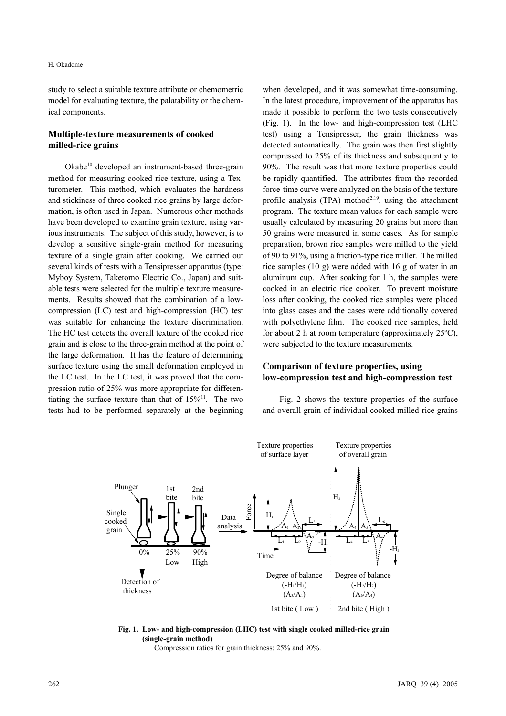study to select a suitable texture attribute or chemometric model for evaluating texture, the palatability or the chemical components.

# **Multiple-texture measurements of cooked milled-rice grains**

Okabe<sup>10</sup> developed an instrument-based three-grain method for measuring cooked rice texture, using a Texturometer. This method, which evaluates the hardness and stickiness of three cooked rice grains by large deformation, is often used in Japan. Numerous other methods have been developed to examine grain texture, using various instruments. The subject of this study, however, is to develop a sensitive single-grain method for measuring texture of a single grain after cooking. We carried out several kinds of tests with a Tensipresser apparatus (type: Myboy System, Taketomo Electric Co., Japan) and suitable tests were selected for the multiple texture measurements. Results showed that the combination of a lowcompression (LC) test and high-compression (HC) test was suitable for enhancing the texture discrimination. The HC test detects the overall texture of the cooked rice grain and is close to the three-grain method at the point of the large deformation. It has the feature of determining surface texture using the small deformation employed in the LC test. In the LC test, it was proved that the compression ratio of 25% was more appropriate for differentiating the surface texture than that of  $15\%$ <sup>11</sup>. The two tests had to be performed separately at the beginning when developed, and it was somewhat time-consuming. In the latest procedure, improvement of the apparatus has made it possible to perform the two tests consecutively (Fig. 1). In the low- and high-compression test (LHC test) using a Tensipresser, the grain thickness was detected automatically. The grain was then first slightly compressed to 25% of its thickness and subsequently to 90%. The result was that more texture properties could be rapidly quantified. The attributes from the recorded force-time curve were analyzed on the basis of the texture profile analysis (TPA) method<sup>2,19</sup>, using the attachment program. The texture mean values for each sample were usually calculated by measuring 20 grains but more than 50 grains were measured in some cases. As for sample preparation, brown rice samples were milled to the yield of 90 to 91%, using a friction-type rice miller. The milled rice samples (10 g) were added with 16 g of water in an aluminum cup. After soaking for 1 h, the samples were cooked in an electric rice cooker. To prevent moisture loss after cooking, the cooked rice samples were placed into glass cases and the cases were additionally covered with polyethylene film. The cooked rice samples, held for about 2 h at room temperature (approximately 25ºC), were subjected to the texture measurements.

## **Comparison of texture properties, using low-compression test and high-compression test**

Fig. 2 shows the texture properties of the surface and overall grain of individual cooked milled-rice grains



**Fig. 1. Low- and high-compression (LHC) test with single cooked milled-rice grain (single-grain method)**

Compression ratios for grain thickness: 25% and 90%.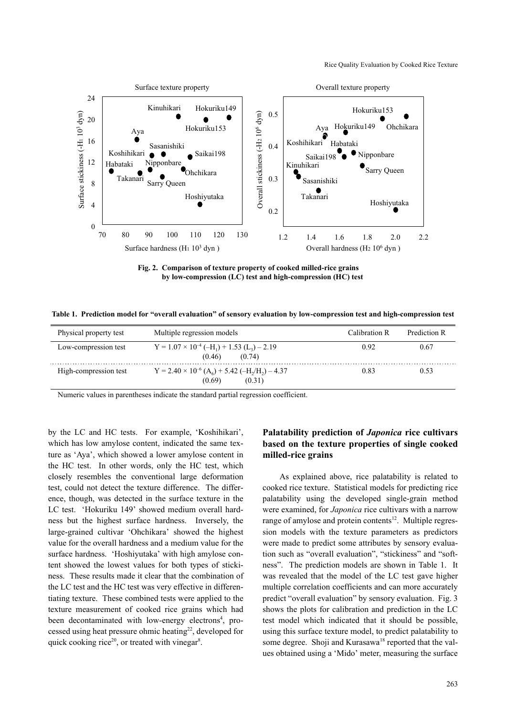

**Fig. 2. Comparison of texture property of cooked milled-rice grains by low-compression (LC) test and high-compression (HC) test**

**Table 1. Prediction model for "overall evaluation" of sensory evaluation by low-compression test and high-compression test**

| Physical property test | Multiple regression models                                                                                       | Calibration R | Prediction R |
|------------------------|------------------------------------------------------------------------------------------------------------------|---------------|--------------|
| Low-compression test   | $Y = 1.07 \times 10^{-4} (-H_1) + 1.53 (L_3) - 2.19$<br>(0.46)<br>(0.74)                                         | 0.92          | 0.67         |
| High-compression test  | $Y = 2.40 \times 10^{-6}$ (A <sub>6</sub> ) + 5.42 (-H <sub>2</sub> /H <sub>2</sub> ) – 4.37<br>(0.31)<br>(0.69) | 0.83          | 0.53         |

Numeric values in parentheses indicate the standard partial regression coefficient.

by the LC and HC tests. For example, 'Koshihikari', which has low amylose content, indicated the same texture as 'Aya', which showed a lower amylose content in the HC test. In other words, only the HC test, which closely resembles the conventional large deformation test, could not detect the texture difference. The difference, though, was detected in the surface texture in the LC test. 'Hokuriku 149' showed medium overall hardness but the highest surface hardness. Inversely, the large-grained cultivar 'Ohchikara' showed the highest value for the overall hardness and a medium value for the surface hardness. 'Hoshiyutaka' with high amylose content showed the lowest values for both types of stickiness. These results made it clear that the combination of the LC test and the HC test was very effective in differentiating texture. These combined tests were applied to the texture measurement of cooked rice grains which had been decontaminated with low-energy electrons<sup>4</sup>, processed using heat pressure ohmic heating<sup>22</sup>, developed for quick cooking rice<sup>20</sup>, or treated with vinegar<sup>8</sup>.

# **Palatability prediction of** *Japonica* **rice cultivars based on the texture properties of single cooked milled-rice grains**

As explained above, rice palatability is related to cooked rice texture. Statistical models for predicting rice palatability using the developed single-grain method were examined, for *Japonica* rice cultivars with a narrow range of amylose and protein contents<sup>12</sup>. Multiple regression models with the texture parameters as predictors were made to predict some attributes by sensory evaluation such as "overall evaluation", "stickiness" and "softness". The prediction models are shown in Table 1. It was revealed that the model of the LC test gave higher multiple correlation coefficients and can more accurately predict "overall evaluation" by sensory evaluation. Fig. 3 shows the plots for calibration and prediction in the LC test model which indicated that it should be possible, using this surface texture model, to predict palatability to some degree. Shoji and Kurasawa<sup>18</sup> reported that the values obtained using a 'Mido' meter, measuring the surface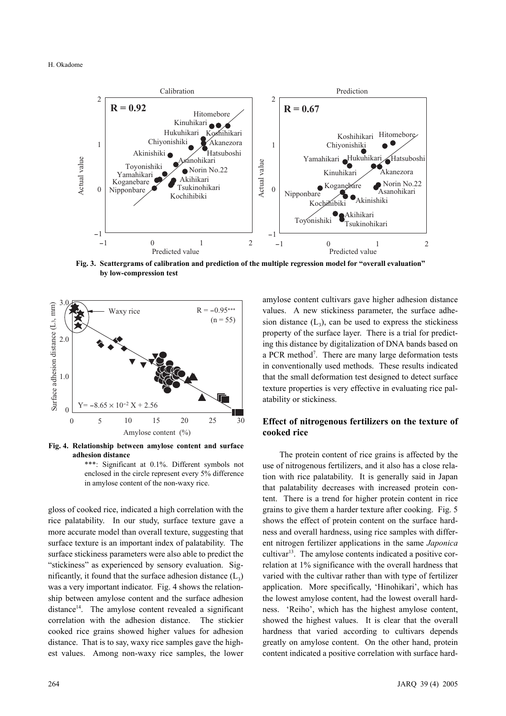#### H. Okadome



**Fig. 3. Scattergrams of calibration and prediction of the multiple regression model for "overall evaluation" by low-compression test**



**Fig. 4. Relationship between amylose content and surface adhesion distance**

\*\*\*: Significant at 0.1%. Different symbols not enclosed in the circle represent every 5% difference in amylose content of the non-waxy rice.

gloss of cooked rice, indicated a high correlation with the rice palatability. In our study, surface texture gave a more accurate model than overall texture, suggesting that surface texture is an important index of palatability. The surface stickiness parameters were also able to predict the "stickiness" as experienced by sensory evaluation. Significantly, it found that the surface adhesion distance  $(L_3)$ was a very important indicator. Fig. 4 shows the relationship between amylose content and the surface adhesion distance $14$ . The amylose content revealed a significant correlation with the adhesion distance. The stickier cooked rice grains showed higher values for adhesion distance. That is to say, waxy rice samples gave the highest values. Among non-waxy rice samples, the lower amylose content cultivars gave higher adhesion distance values. A new stickiness parameter, the surface adhesion distance  $(L<sub>2</sub>)$ , can be used to express the stickiness property of the surface layer. There is a trial for predicting this distance by digitalization of DNA bands based on a PCR method<sup>7</sup>. There are many large deformation tests in conventionally used methods. These results indicated that the small deformation test designed to detect surface texture properties is very effective in evaluating rice palatability or stickiness.

## **Effect of nitrogenous fertilizers on the texture of cooked rice**

The protein content of rice grains is affected by the use of nitrogenous fertilizers, and it also has a close relation with rice palatability. It is generally said in Japan that palatability decreases with increased protein content. There is a trend for higher protein content in rice grains to give them a harder texture after cooking. Fig. 5 shows the effect of protein content on the surface hardness and overall hardness, using rice samples with different nitrogen fertilizer applications in the same *Japonica* cultivar<sup>13</sup>. The amylose contents indicated a positive correlation at 1% significance with the overall hardness that varied with the cultivar rather than with type of fertilizer application. More specifically, 'Hinohikari', which has the lowest amylose content, had the lowest overall hardness. 'Reiho', which has the highest amylose content, showed the highest values. It is clear that the overall hardness that varied according to cultivars depends greatly on amylose content. On the other hand, protein content indicated a positive correlation with surface hard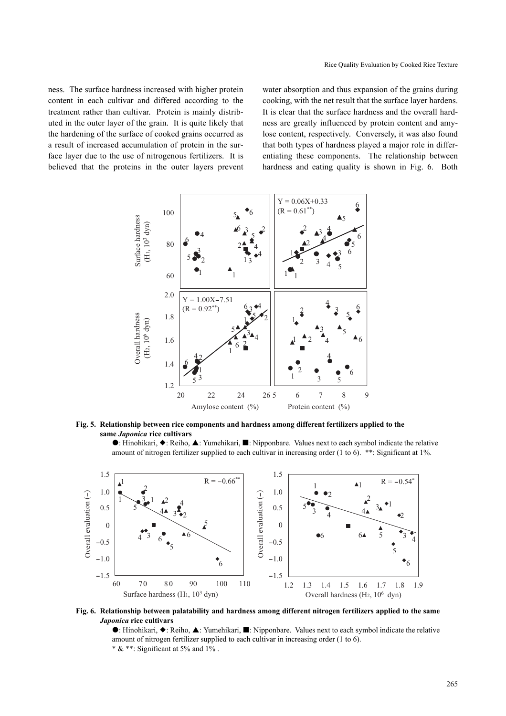ness. The surface hardness increased with higher protein content in each cultivar and differed according to the treatment rather than cultivar. Protein is mainly distributed in the outer layer of the grain. It is quite likely that the hardening of the surface of cooked grains occurred as a result of increased accumulation of protein in the surface layer due to the use of nitrogenous fertilizers. It is believed that the proteins in the outer layers prevent water absorption and thus expansion of the grains during cooking, with the net result that the surface layer hardens. It is clear that the surface hardness and the overall hardness are greatly influenced by protein content and amylose content, respectively. Conversely, it was also found that both types of hardness played a major role in differentiating these components. The relationship between hardness and eating quality is shown in Fig. 6. Both



**Fig. 5. Relationship between rice components and hardness among different fertilizers applied to the same** *Japonica* **rice cultivars**

 $\bullet$ : Hinohikari,  $\bullet$ : Reiho,  $\blacktriangle$ : Yumehikari,  $\blacksquare$ : Nipponbare. Values next to each symbol indicate the relative amount of nitrogen fertilizer supplied to each cultivar in increasing order (1 to 6). \*\*: Significant at 1%.



**Fig. 6. Relationship between palatability and hardness among different nitrogen fertilizers applied to the same** *Japonica* **rice cultivars**

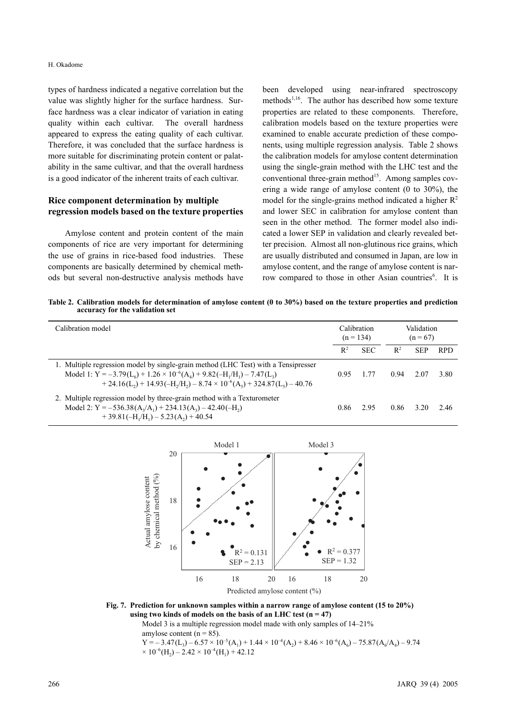#### H. Okadome

types of hardness indicated a negative correlation but the value was slightly higher for the surface hardness. Surface hardness was a clear indicator of variation in eating quality within each cultivar. The overall hardness appeared to express the eating quality of each cultivar. Therefore, it was concluded that the surface hardness is more suitable for discriminating protein content or palatability in the same cultivar, and that the overall hardness is a good indicator of the inherent traits of each cultivar.

# **Rice component determination by multiple regression models based on the texture properties**

Amylose content and protein content of the main components of rice are very important for determining the use of grains in rice-based food industries. These components are basically determined by chemical methods but several non-destructive analysis methods have been developed using near-infrared spectroscopy methods $1,16$ . The author has described how some texture properties are related to these components. Therefore, calibration models based on the texture properties were examined to enable accurate prediction of these components, using multiple regression analysis. Table 2 shows the calibration models for amylose content determination using the single-grain method with the LHC test and the conventional three-grain method<sup>15</sup>. Among samples covering a wide range of amylose content (0 to 30%), the model for the single-grains method indicated a higher  $R^2$ and lower SEC in calibration for amylose content than seen in the other method. The former model also indicated a lower SEP in validation and clearly revealed better precision. Almost all non-glutinous rice grains, which are usually distributed and consumed in Japan, are low in amylose content, and the range of amylose content is narrow compared to those in other Asian countries<sup>6</sup>. It is

**Table 2. Calibration models for determination of amylose content (0 to 30%) based on the texture properties and prediction accuracy for the validation set**

| Calibration model                                                                                                                                                                                                                                                                                                      |       | Calibration<br>$(n = 134)$ | Validation<br>$(n = 67)$ |            |            |  |
|------------------------------------------------------------------------------------------------------------------------------------------------------------------------------------------------------------------------------------------------------------------------------------------------------------------------|-------|----------------------------|--------------------------|------------|------------|--|
|                                                                                                                                                                                                                                                                                                                        | $R^2$ | <b>SEC</b>                 | $R^2$                    | <b>SEP</b> | <b>RPD</b> |  |
| 1. Multiple regression model by single-grain method (LHC Test) with a Tensipresser<br>Model 1: Y = -3.79(L <sub>6</sub> ) + 1.26 × 10 <sup>-6</sup> (A <sub>4</sub> ) + 9.82(-H <sub>1</sub> /H <sub>1</sub> ) - 7.47(L <sub>3</sub> )<br>$+ 24.16(L2) + 14.93(-H2/H2) - 8.74 \times 10^{-6}(A5) + 324.87(L5) - 40.76$ | 0.95  | 1 77                       | 0.94                     | 2.07       | 3.80       |  |
| 2. Multiple regression model by three-grain method with a Texturometer<br>Model 2: Y = $-536.38(A_3/A_1) + 234.13(A_3) - 42.40(-H_2)$<br>$+39.81(-H1/H1) - 5.23(A2) + 40.54$                                                                                                                                           | 0.86  | 2.95                       | 0.86                     | 3.20       | 2.46       |  |



**Fig. 7. Prediction for unknown samples within a narrow range of amylose content (15 to 20%)**  using two kinds of models on the basis of an LHC test  $(n = 47)$ 

Model 3 is a multiple regression model made with only samples of 14–21% amylose content  $(n = 85)$ .  $Y = -3.47(L_3) - 6.57 \times 10^{-5}(A_1) + 1.44 \times 10^{-4}(A_2) + 8.46 \times 10^{-6}(A_6) - 75.87(A_6/A_4) - 9.74$ 

```
\times 10^{-6}(H<sub>2</sub>) – 2.42 \times 10^{-4}(H<sub>1</sub>) + 42.12
```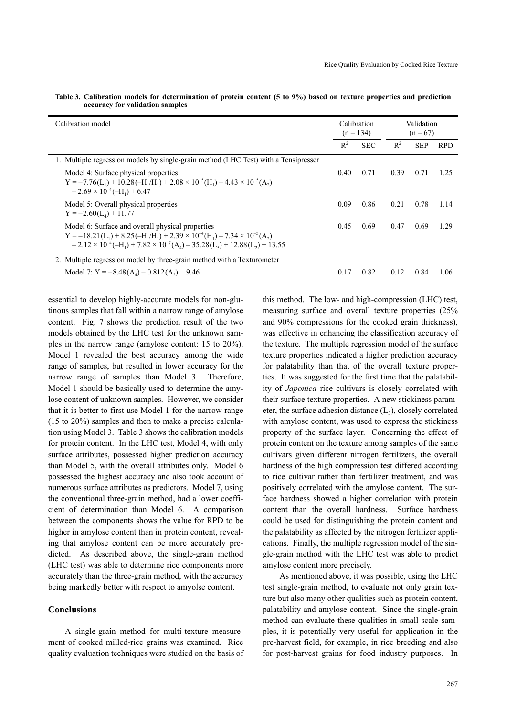| Calibration model                                                                                                                                                                                                                             |       | Calibration<br>$(n = 134)$ | Validation<br>$(n = 67)$ |            |            |  |
|-----------------------------------------------------------------------------------------------------------------------------------------------------------------------------------------------------------------------------------------------|-------|----------------------------|--------------------------|------------|------------|--|
|                                                                                                                                                                                                                                               | $R^2$ | <b>SEC</b>                 | $R^2$                    | <b>SEP</b> | <b>RPD</b> |  |
| 1. Multiple regression models by single-grain method (LHC Test) with a Tensipresser                                                                                                                                                           |       |                            |                          |            |            |  |
| Model 4: Surface physical properties<br>$Y = -7.76(L_1) + 10.28(-H_1/H_1) + 2.08 \times 10^{-5}(H_1) - 4.43 \times 10^{-5}(A_2)$<br>$-2.69 \times 10^{-4} (-H_1) + 6.47$                                                                      | 0.40  | 0.71                       | 0.39                     | 0.71       | 1.25       |  |
| Model 5: Overall physical properties<br>$Y = -2.60(L_4) + 11.77$                                                                                                                                                                              | 0.09  | 0.86                       | 0.21                     | 0.78       | 1.14       |  |
| Model 6: Surface and overall physical properties<br>$Y = -18.21(L_1) + 8.25(-H_1/H_1) + 2.39 \times 10^{-4}(H_1) - 7.34 \times 10^{-5}(A_2)$<br>$-2.12 \times 10^{-4} (-H_1) + 7.82 \times 10^{-7} (A_4) - 35.28 (L_5) + 12.88 (L_2) + 13.55$ | 0.45  | 0.69                       | 0.47                     | 0.69       | 1.29       |  |
| 2. Multiple regression model by three-grain method with a Texturometer                                                                                                                                                                        |       |                            |                          |            |            |  |
| Model 7: $Y = -8.48(A_4) - 0.812(A_2) + 9.46$                                                                                                                                                                                                 | 0.17  | 0.82                       | 0.12                     | 0.84       | 1.06       |  |

| Table 3. Calibration models for determination of protein content (5 to 9%) based on texture properties and prediction |  |  |  |  |  |  |  |
|-----------------------------------------------------------------------------------------------------------------------|--|--|--|--|--|--|--|
| accuracy for validation samples                                                                                       |  |  |  |  |  |  |  |

essential to develop highly-accurate models for non-glutinous samples that fall within a narrow range of amylose content. Fig. 7 shows the prediction result of the two models obtained by the LHC test for the unknown samples in the narrow range (amylose content: 15 to 20%). Model 1 revealed the best accuracy among the wide range of samples, but resulted in lower accuracy for the narrow range of samples than Model 3. Therefore, Model 1 should be basically used to determine the amylose content of unknown samples. However, we consider that it is better to first use Model 1 for the narrow range (15 to 20%) samples and then to make a precise calculation using Model 3. Table 3 shows the calibration models for protein content. In the LHC test, Model 4, with only surface attributes, possessed higher prediction accuracy than Model 5, with the overall attributes only. Model 6 possessed the highest accuracy and also took account of numerous surface attributes as predictors. Model 7, using the conventional three-grain method, had a lower coefficient of determination than Model 6. A comparison between the components shows the value for RPD to be higher in amylose content than in protein content, revealing that amylose content can be more accurately predicted. As described above, the single-grain method (LHC test) was able to determine rice components more accurately than the three-grain method, with the accuracy being markedly better with respect to amyolse content.

## **Conclusions**

A single-grain method for multi-texture measurement of cooked milled-rice grains was examined. Rice quality evaluation techniques were studied on the basis of this method. The low- and high-compression (LHC) test, measuring surface and overall texture properties (25% and 90% compressions for the cooked grain thickness), was effective in enhancing the classification accuracy of the texture. The multiple regression model of the surface texture properties indicated a higher prediction accuracy for palatability than that of the overall texture properties. It was suggested for the first time that the palatability of *Japonica* rice cultivars is closely correlated with their surface texture properties. A new stickiness parameter, the surface adhesion distance  $(L<sub>3</sub>)$ , closely correlated with amylose content, was used to express the stickiness property of the surface layer. Concerning the effect of protein content on the texture among samples of the same cultivars given different nitrogen fertilizers, the overall hardness of the high compression test differed according to rice cultivar rather than fertilizer treatment, and was positively correlated with the amylose content. The surface hardness showed a higher correlation with protein content than the overall hardness. Surface hardness could be used for distinguishing the protein content and the palatability as affected by the nitrogen fertilizer applications. Finally, the multiple regression model of the single-grain method with the LHC test was able to predict amylose content more precisely.

As mentioned above, it was possible, using the LHC test single-grain method, to evaluate not only grain texture but also many other qualities such as protein content, palatability and amylose content. Since the single-grain method can evaluate these qualities in small-scale samples, it is potentially very useful for application in the pre-harvest field, for example, in rice breeding and also for post-harvest grains for food industry purposes. In